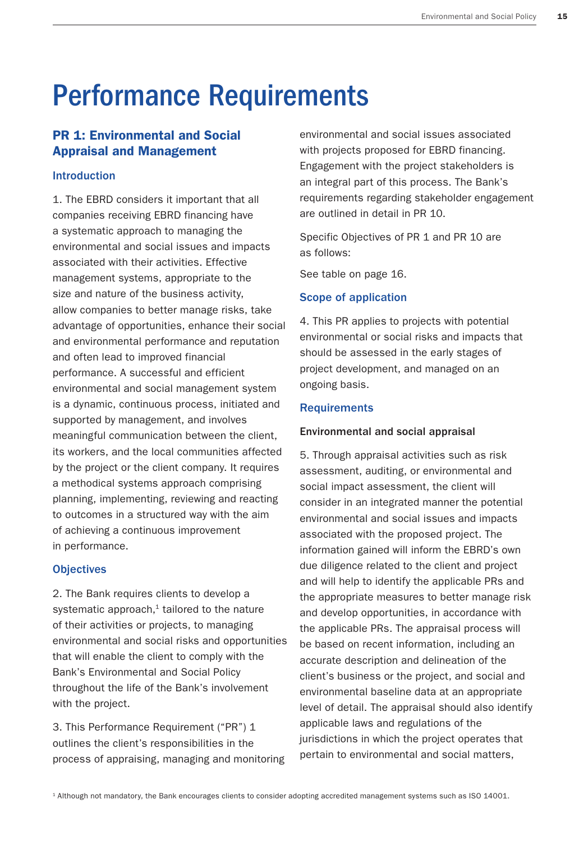# Performance Requirements

# PR 1: Environmental and Social Appraisal and Management

## Introduction

1. The EBRD considers it important that all companies receiving EBRD financing have a systematic approach to managing the environmental and social issues and impacts associated with their activities. Effective management systems, appropriate to the size and nature of the business activity, allow companies to better manage risks, take advantage of opportunities, enhance their social and environmental performance and reputation and often lead to improved financial performance. A successful and efficient environmental and social management system is a dynamic, continuous process, initiated and supported by management, and involves meaningful communication between the client, its workers, and the local communities affected by the project or the client company. It requires a methodical systems approach comprising planning, implementing, reviewing and reacting to outcomes in a structured way with the aim of achieving a continuous improvement in performance.

## **Objectives**

2. The Bank requires clients to develop a systematic approach, $1$  tailored to the nature of their activities or projects, to managing environmental and social risks and opportunities that will enable the client to comply with the Bank's Environmental and Social Policy throughout the life of the Bank's involvement with the project.

3. This Performance Requirement ("PR") 1 outlines the client's responsibilities in the process of appraising, managing and monitoring

environmental and social issues associated with projects proposed for EBRD financing. Engagement with the project stakeholders is an integral part of this process. The Bank's requirements regarding stakeholder engagement are outlined in detail in PR 10.

Specific Objectives of PR 1 and PR 10 are as follows:

See table on page 16.

## Scope of application

4. This PR applies to projects with potential environmental or social risks and impacts that should be assessed in the early stages of project development, and managed on an ongoing basis.

## **Requirements**

## Environmental and social appraisal

5. Through appraisal activities such as risk assessment, auditing, or environmental and social impact assessment, the client will consider in an integrated manner the potential environmental and social issues and impacts associated with the proposed project. The information gained will inform the EBRD's own due diligence related to the client and project and will help to identify the applicable PRs and the appropriate measures to better manage risk and develop opportunities, in accordance with the applicable PRs. The appraisal process will be based on recent information, including an accurate description and delineation of the client's business or the project, and social and environmental baseline data at an appropriate level of detail. The appraisal should also identify applicable laws and regulations of the jurisdictions in which the project operates that pertain to environmental and social matters,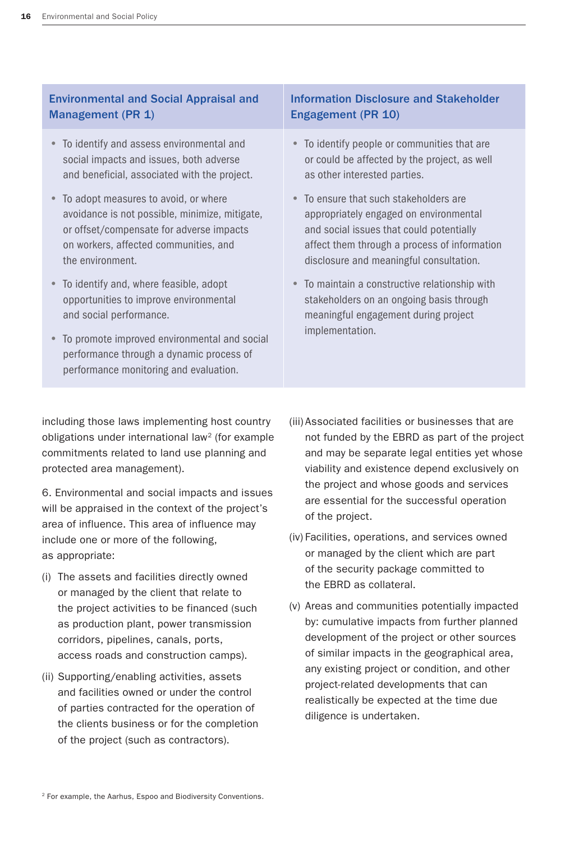# Environmental and Social Appraisal and Management (PR 1)

- To identify and assess environmental and social impacts and issues, both adverse and beneficial, associated with the project.
- To adopt measures to avoid, or where avoidance is not possible, minimize, mitigate, or offset/compensate for adverse impacts on workers, affected communities, and the environment.
- To identify and, where feasible, adopt opportunities to improve environmental and social performance.
- To promote improved environmental and social performance through a dynamic process of performance monitoring and evaluation.

## Information Disclosure and Stakeholder Engagement (PR 10)

- To identify people or communities that are or could be affected by the project, as well as other interested parties.
- To ensure that such stakeholders are appropriately engaged on environmental and social issues that could potentially affect them through a process of information disclosure and meaningful consultation.
- To maintain a constructive relationship with stakeholders on an ongoing basis through meaningful engagement during project implementation.

including those laws implementing host country obligations under international law<sup>2</sup> (for example commitments related to land use planning and protected area management).

6. Environmental and social impacts and issues will be appraised in the context of the project's area of influence. This area of influence may include one or more of the following, as appropriate:

- (i) The assets and facilities directly owned or managed by the client that relate to the project activities to be financed (such as production plant, power transmission corridors, pipelines, canals, ports, access roads and construction camps).
- (ii) Supporting/enabling activities, assets and facilities owned or under the control of parties contracted for the operation of the clients business or for the completion of the project (such as contractors).
- (iii) Associated facilities or businesses that are not funded by the EBRD as part of the project and may be separate legal entities yet whose viability and existence depend exclusively on the project and whose goods and services are essential for the successful operation of the project.
- (iv) Facilities, operations, and services owned or managed by the client which are part of the security package committed to the EBRD as collateral.
- (v) Areas and communities potentially impacted by: cumulative impacts from further planned development of the project or other sources of similar impacts in the geographical area, any existing project or condition, and other project-related developments that can realistically be expected at the time due diligence is undertaken.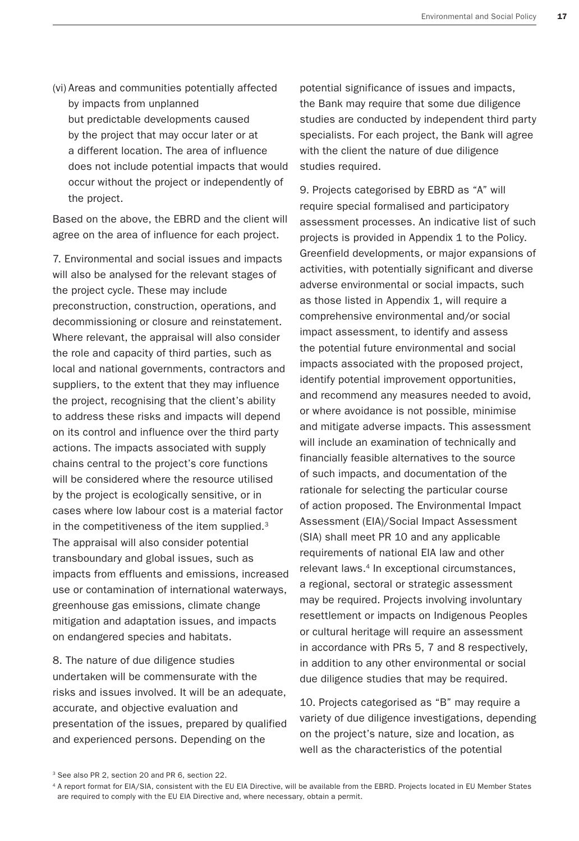(vi) Areas and communities potentially affected by impacts from unplanned but predictable developments caused by the project that may occur later or at a different location. The area of influence does not include potential impacts that would occur without the project or independently of the project.

Based on the above, the EBRD and the client will agree on the area of influence for each project.

7. Environmental and social issues and impacts will also be analysed for the relevant stages of the project cycle. These may include preconstruction, construction, operations, and decommissioning or closure and reinstatement. Where relevant, the appraisal will also consider the role and capacity of third parties, such as local and national governments, contractors and suppliers, to the extent that they may influence the project, recognising that the client's ability to address these risks and impacts will depend on its control and influence over the third party actions. The impacts associated with supply chains central to the project's core functions will be considered where the resource utilised by the project is ecologically sensitive, or in cases where low labour cost is a material factor in the competitiveness of the item supplied.<sup>3</sup> The appraisal will also consider potential transboundary and global issues, such as impacts from effluents and emissions, increased use or contamination of international waterways, greenhouse gas emissions, climate change mitigation and adaptation issues, and impacts on endangered species and habitats.

8. The nature of due diligence studies undertaken will be commensurate with the risks and issues involved. It will be an adequate, accurate, and objective evaluation and presentation of the issues, prepared by qualified and experienced persons. Depending on the

potential significance of issues and impacts, the Bank may require that some due diligence studies are conducted by independent third party specialists. For each project, the Bank will agree with the client the nature of due diligence studies required.

9. Projects categorised by EBRD as "A" will require special formalised and participatory assessment processes. An indicative list of such projects is provided in Appendix 1 to the Policy. Greenfield developments, or major expansions of activities, with potentially significant and diverse adverse environmental or social impacts, such as those listed in Appendix 1, will require a comprehensive environmental and/or social impact assessment, to identify and assess the potential future environmental and social impacts associated with the proposed project, identify potential improvement opportunities, and recommend any measures needed to avoid, or where avoidance is not possible, minimise and mitigate adverse impacts. This assessment will include an examination of technically and financially feasible alternatives to the source of such impacts, and documentation of the rationale for selecting the particular course of action proposed. The Environmental Impact Assessment (EIA)/Social Impact Assessment (SIA) shall meet PR 10 and any applicable requirements of national EIA law and other relevant laws.<sup>4</sup> In exceptional circumstances, a regional, sectoral or strategic assessment may be required. Projects involving involuntary resettlement or impacts on Indigenous Peoples or cultural heritage will require an assessment in accordance with PRs 5, 7 and 8 respectively, in addition to any other environmental or social due diligence studies that may be required.

10. Projects categorised as "B" may require a variety of due diligence investigations, depending on the project's nature, size and location, as well as the characteristics of the potential

<sup>&</sup>lt;sup>3</sup> See also PR 2, section 20 and PR 6, section 22.

<sup>4</sup> A report format for EIA/SIA, consistent with the EU EIA Directive, will be available from the EBRD. Projects located in EU Member States are required to comply with the EU EIA Directive and, where necessary, obtain a permit.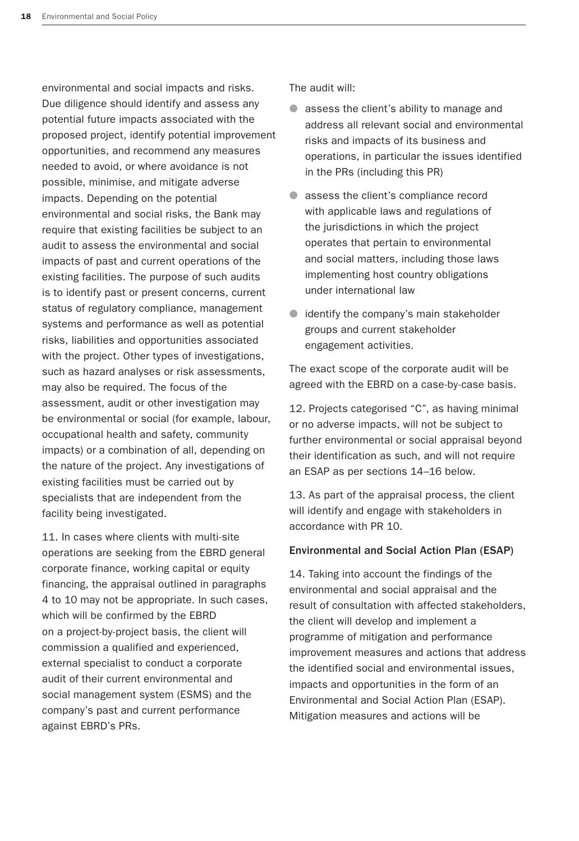environmental and social impacts and risks. Due diligence should identify and assess any potential future impacts associated with the proposed project, identify potential improvement opportunities, and recommend any measures needed to avoid, or where avoidance is not possible, minimise, and mitigate adverse impacts. Depending on the potential environmental and social risks, the Bank may require that existing facilities be subject to an audit to assess the environmental and social impacts of past and current operations of the existing facilities. The purpose of such audits is to identify past or present concerns, current status of regulatory compliance, management systems and performance as well as potential risks, liabilities and opportunities associated with the project. Other types of investigations, such as hazard analyses or risk assessments, may also be required. The focus of the assessment, audit or other investigation may be environmental or social (for example, labour, occupational health and safety, community impacts) or a combination of all, depending on the nature of the project. Any investigations of existing facilities must be carried out by specialists that are independent from the facility being investigated.

11. In cases where clients with multi-site operations are seeking from the EBRD general corporate finance, working capital or equity financing, the appraisal outlined in paragraphs 4 to 10 may not be appropriate. In such cases, which will be confirmed by the EBRD on a project-by-project basis, the client will commission a qualified and experienced, external specialist to conduct a corporate audit of their current environmental and social management system (ESMS) and the company's past and current performance against EBRD's PRs.

The audit will:

- assess the client's ability to manage and address all relevant social and environmental risks and impacts of its business and operations, in particular the issues identified in the PRs (including this PR)
- assess the client's compliance record with applicable laws and regulations of the jurisdictions in which the project operates that pertain to environmental and social matters, including those laws implementing host country obligations under international law
- identify the company's main stakeholder groups and current stakeholder engagement activities.

The exact scope of the corporate audit will be agreed with the EBRD on a case-by-case basis.

12. Projects categorised "C", as having minimal or no adverse impacts, will not be subject to further environmental or social appraisal beyond their identification as such, and will not require an ESAP as per sections 14–16 below.

13. As part of the appraisal process, the client will identify and engage with stakeholders in accordance with PR 10.

## Environmental and Social Action Plan (ESAP)

14. Taking into account the findings of the environmental and social appraisal and the result of consultation with affected stakeholders, the client will develop and implement a programme of mitigation and performance improvement measures and actions that address the identified social and environmental issues, impacts and opportunities in the form of an Environmental and Social Action Plan (ESAP). Mitigation measures and actions will be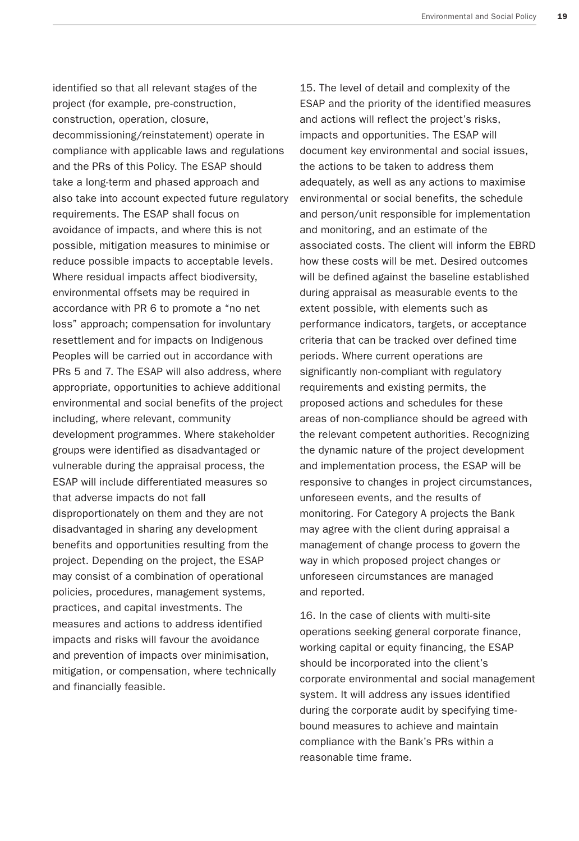identified so that all relevant stages of the project (for example, pre-construction, construction, operation, closure, decommissioning/reinstatement) operate in compliance with applicable laws and regulations and the PRs of this Policy. The ESAP should take a long-term and phased approach and also take into account expected future regulatory requirements. The ESAP shall focus on avoidance of impacts, and where this is not possible, mitigation measures to minimise or reduce possible impacts to acceptable levels. Where residual impacts affect biodiversity, environmental offsets may be required in accordance with PR 6 to promote a "no net loss" approach; compensation for involuntary resettlement and for impacts on Indigenous Peoples will be carried out in accordance with PRs 5 and 7. The ESAP will also address, where appropriate, opportunities to achieve additional environmental and social benefits of the project including, where relevant, community development programmes. Where stakeholder groups were identified as disadvantaged or vulnerable during the appraisal process, the ESAP will include differentiated measures so that adverse impacts do not fall disproportionately on them and they are not disadvantaged in sharing any development benefits and opportunities resulting from the project. Depending on the project, the ESAP may consist of a combination of operational policies, procedures, management systems, practices, and capital investments. The measures and actions to address identified impacts and risks will favour the avoidance and prevention of impacts over minimisation, mitigation, or compensation, where technically and financially feasible.

15. The level of detail and complexity of the ESAP and the priority of the identified measures and actions will reflect the project's risks, impacts and opportunities. The ESAP will document key environmental and social issues, the actions to be taken to address them adequately, as well as any actions to maximise environmental or social benefits, the schedule and person/unit responsible for implementation and monitoring, and an estimate of the associated costs. The client will inform the EBRD how these costs will be met. Desired outcomes will be defined against the baseline established during appraisal as measurable events to the extent possible, with elements such as performance indicators, targets, or acceptance criteria that can be tracked over defined time periods. Where current operations are significantly non-compliant with regulatory requirements and existing permits, the proposed actions and schedules for these areas of non-compliance should be agreed with the relevant competent authorities. Recognizing the dynamic nature of the project development and implementation process, the ESAP will be responsive to changes in project circumstances, unforeseen events, and the results of monitoring. For Category A projects the Bank may agree with the client during appraisal a management of change process to govern the way in which proposed project changes or unforeseen circumstances are managed and reported.

16. In the case of clients with multi-site operations seeking general corporate finance, working capital or equity financing, the ESAP should be incorporated into the client's corporate environmental and social management system. It will address any issues identified during the corporate audit by specifying timebound measures to achieve and maintain compliance with the Bank's PRs within a reasonable time frame.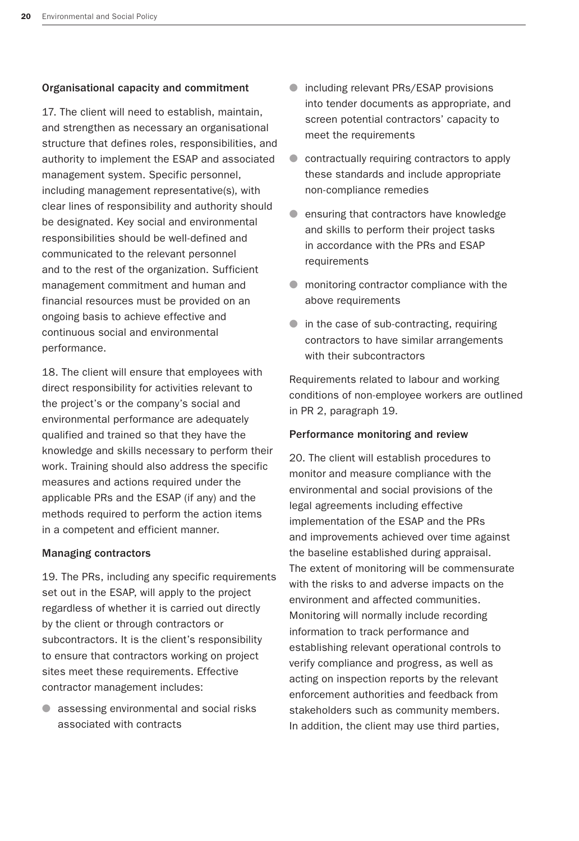#### Organisational capacity and commitment

17. The client will need to establish, maintain, and strengthen as necessary an organisational structure that defines roles, responsibilities, and authority to implement the ESAP and associated management system. Specific personnel, including management representative(s), with clear lines of responsibility and authority should be designated. Key social and environmental responsibilities should be well-defined and communicated to the relevant personnel and to the rest of the organization. Sufficient management commitment and human and financial resources must be provided on an ongoing basis to achieve effective and continuous social and environmental performance.

18. The client will ensure that employees with direct responsibility for activities relevant to the project's or the company's social and environmental performance are adequately qualified and trained so that they have the knowledge and skills necessary to perform their work. Training should also address the specific measures and actions required under the applicable PRs and the ESAP (if any) and the methods required to perform the action items in a competent and efficient manner.

#### Managing contractors

19. The PRs, including any specific requirements set out in the ESAP, will apply to the project regardless of whether it is carried out directly by the client or through contractors or subcontractors. It is the client's responsibility to ensure that contractors working on project sites meet these requirements. Effective contractor management includes:

● assessing environmental and social risks associated with contracts

- including relevant PRs/ESAP provisions into tender documents as appropriate, and screen potential contractors' capacity to meet the requirements
- contractually requiring contractors to apply these standards and include appropriate non-compliance remedies
- ensuring that contractors have knowledge and skills to perform their project tasks in accordance with the PRs and ESAP requirements
- monitoring contractor compliance with the above requirements
- in the case of sub-contracting, requiring contractors to have similar arrangements with their subcontractors

Requirements related to labour and working conditions of non-employee workers are outlined in PR 2, paragraph 19.

#### Performance monitoring and review

20. The client will establish procedures to monitor and measure compliance with the environmental and social provisions of the legal agreements including effective implementation of the ESAP and the PRs and improvements achieved over time against the baseline established during appraisal. The extent of monitoring will be commensurate with the risks to and adverse impacts on the environment and affected communities. Monitoring will normally include recording information to track performance and establishing relevant operational controls to verify compliance and progress, as well as acting on inspection reports by the relevant enforcement authorities and feedback from stakeholders such as community members. In addition, the client may use third parties,